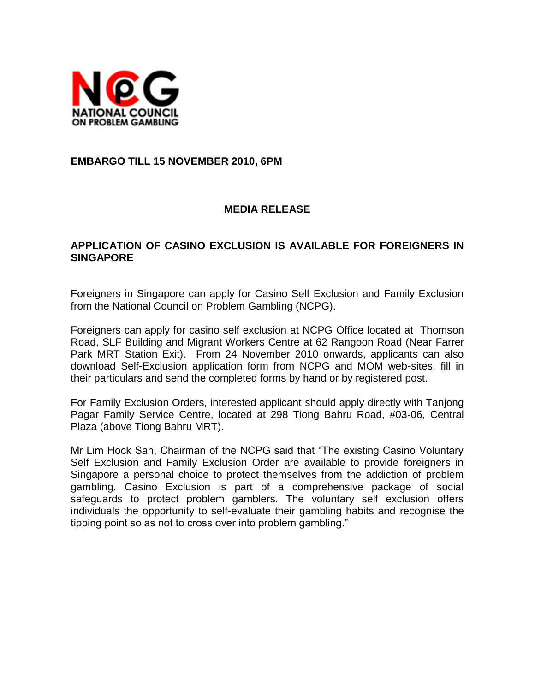

### **EMBARGO TILL 15 NOVEMBER 2010, 6PM**

### **MEDIA RELEASE**

## **APPLICATION OF CASINO EXCLUSION IS AVAILABLE FOR FOREIGNERS IN SINGAPORE**

Foreigners in Singapore can apply for Casino Self Exclusion and Family Exclusion from the National Council on Problem Gambling (NCPG).

Foreigners can apply for casino self exclusion at NCPG Office located at Thomson Road, SLF Building and Migrant Workers Centre at 62 Rangoon Road (Near Farrer Park MRT Station Exit). From 24 November 2010 onwards, applicants can also download Self-Exclusion application form from NCPG and MOM web-sites, fill in their particulars and send the completed forms by hand or by registered post.

For Family Exclusion Orders, interested applicant should apply directly with Tanjong Pagar Family Service Centre, located at 298 Tiong Bahru Road, #03-06, Central Plaza (above Tiong Bahru MRT).

Mr Lim Hock San, Chairman of the NCPG said that "The existing Casino Voluntary Self Exclusion and Family Exclusion Order are available to provide foreigners in Singapore a personal choice to protect themselves from the addiction of problem gambling. Casino Exclusion is part of a comprehensive package of social safeguards to protect problem gamblers. The voluntary self exclusion offers individuals the opportunity to self-evaluate their gambling habits and recognise the tipping point so as not to cross over into problem gambling."